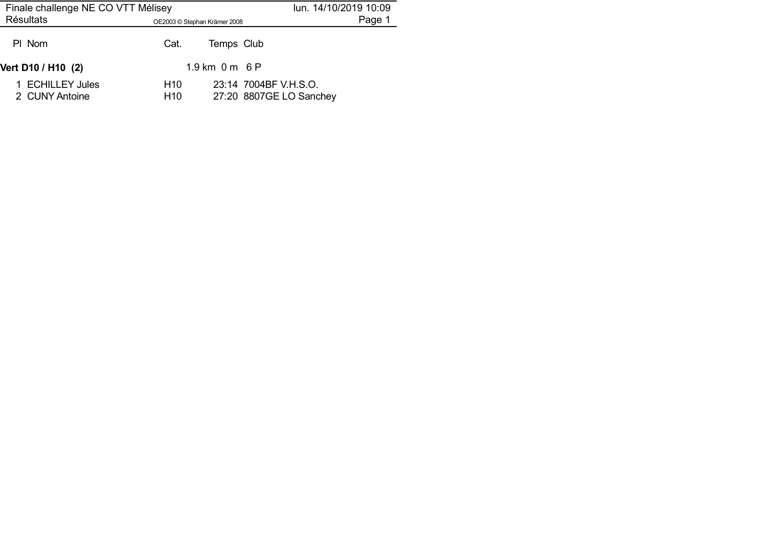| Finale challenge NE CO VTT Mélisey |                                    | lun. 14/10/2019 10:09    |                                                  |        |
|------------------------------------|------------------------------------|--------------------------|--------------------------------------------------|--------|
| <b>Résultats</b>                   | OE2003 © Stephan Krämer 2008       |                          |                                                  | Page 1 |
| PI Nom                             | Cat.                               | Temps Club               |                                                  |        |
| Vert D10 / H10 (2)                 |                                    | $1.9 \text{ km}$ 0 m 6 P |                                                  |        |
| 1 ECHILLEY Jules<br>2 CUNY Antoine | H <sub>10</sub><br>H <sub>10</sub> |                          | 23:14 7004BF V.H.S.O.<br>27:20 8807GE LO Sanchey |        |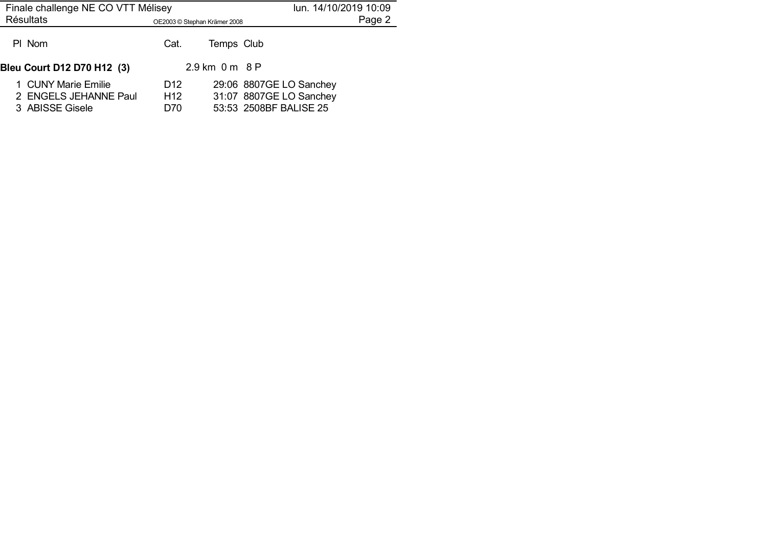| Finale challenge NE CO VTT Mélisey                              | lun. 14/10/2019 10:09                     |                |                                                                              |        |
|-----------------------------------------------------------------|-------------------------------------------|----------------|------------------------------------------------------------------------------|--------|
| <b>Résultats</b>                                                | OE2003 © Stephan Krämer 2008              |                |                                                                              | Page 2 |
| PI Nom                                                          | Cat.                                      | Temps Club     |                                                                              |        |
| Bleu Court D12 D70 H12 (3)                                      |                                           | 2.9 km 0 m 8 P |                                                                              |        |
| 1 CUNY Marie Emilie<br>2 ENGELS JEHANNE Paul<br>3 ABISSE Gisele | D <sub>12</sub><br>H <sub>12</sub><br>D70 |                | 29:06 8807GE LO Sanchey<br>31:07 8807GE LO Sanchey<br>53:53 2508BF BALISE 25 |        |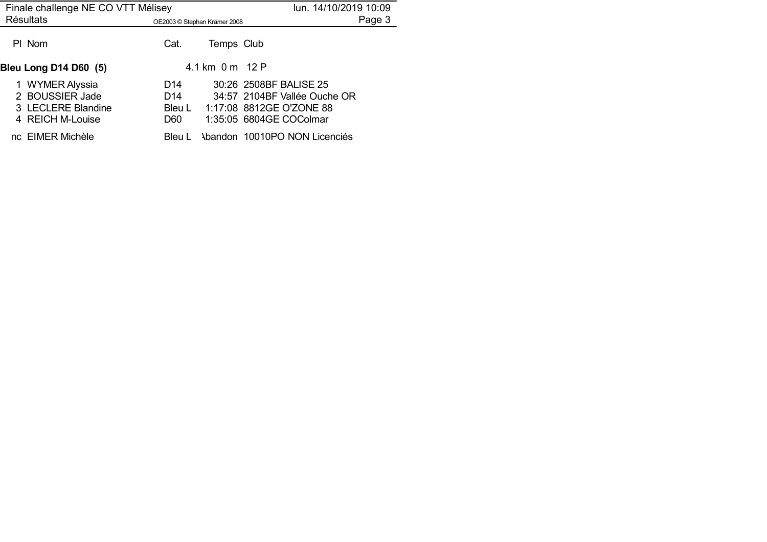| Finale challenge NE CO VTT Mélisey                                           | lun. 14/10/2019 10:09                               |                 |                                                                                                               |
|------------------------------------------------------------------------------|-----------------------------------------------------|-----------------|---------------------------------------------------------------------------------------------------------------|
| <b>Résultats</b>                                                             | OE2003 © Stephan Krämer 2008                        |                 | Page 3                                                                                                        |
| PI Nom                                                                       | Cat.                                                | Temps Club      |                                                                                                               |
| <b>Bleu Long D14 D60 (5)</b>                                                 |                                                     | 4.1 km 0 m 12 P |                                                                                                               |
| 1 WYMER Alyssia<br>2 BOUSSIER Jade<br>3 LECLERE Blandine<br>4 REICH M-Louise | D <sub>14</sub><br>D <sub>14</sub><br>Bleu L<br>D60 |                 | 30:26 2508BF BALISE 25<br>34:57 2104BF Vallée Ouche OR<br>1:17:08 8812GE O'ZONE 88<br>1:35:05 6804GE COColmar |
| nc EIMER Michèle                                                             | Bleu L                                              |                 | Abandon 10010PO NON Licenciés                                                                                 |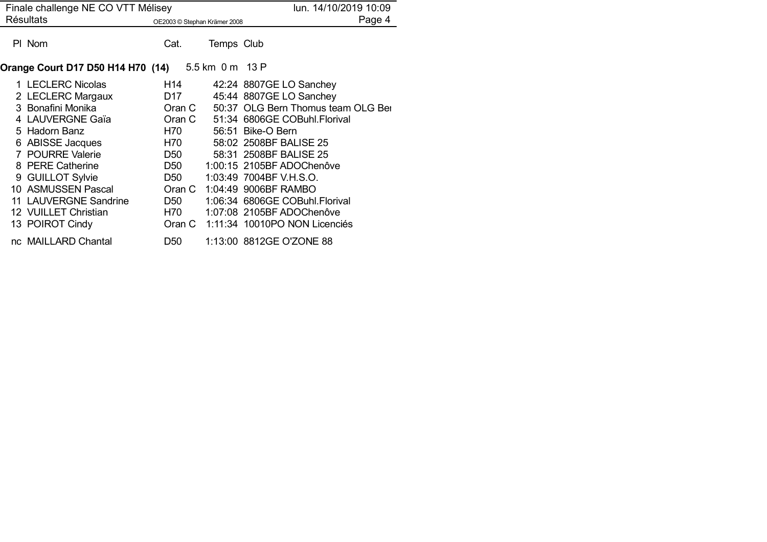| Finale challenge NE CO VTT Mélisey |                                                   |                                                                                                                |  | lun. 14/10/2019 10:09        |                                      |
|------------------------------------|---------------------------------------------------|----------------------------------------------------------------------------------------------------------------|--|------------------------------|--------------------------------------|
|                                    | <b>Résultats</b>                                  |                                                                                                                |  | OE2003 © Stephan Krämer 2008 | Page 4                               |
|                                    | PI Nom                                            | Cat.                                                                                                           |  | Temps Club                   |                                      |
|                                    | Orange Court D17 D50 H14 H70 (14) 5.5 km 0 m 13 P |                                                                                                                |  |                              |                                      |
|                                    | 1 LECLERC Nicolas                                 | H14                                                                                                            |  |                              | 42:24 8807GE LO Sanchey              |
|                                    | 2 LECLERC Margaux                                 | D17                                                                                                            |  |                              | 45:44 8807GE LO Sanchey              |
|                                    | 3 Bonafini Monika                                 | Oran C                                                                                                         |  |                              | 50:37 OLG Bern Thomus team OLG Bei   |
|                                    | 4 LAUVERGNE Gaïa                                  |                                                                                                                |  |                              | Oran C 51:34 6806GE COBuhl. Florival |
|                                    | 5 Hadorn Banz                                     | H70 M                                                                                                          |  |                              | 56:51 Bike-O Bern                    |
|                                    | 6 ABISSE Jacques                                  | H70 and the H70 and the H70 and the H70 and the H70 and the H70 and the H70 and the H70 and the H70 and the H7 |  |                              | 58:02 2508BF BALISE 25               |
|                                    | 7 POURRE Valerie                                  | D50                                                                                                            |  |                              | 58:31 2508BF BALISE 25               |
|                                    | 8 PERE Catherine                                  | D50 and D50 and D50 and D50 and D50 and D50 and D50 and D50 and D50 and D50 and D50 and D50 and D50 and D50 an |  |                              | 1:00:15 2105BF ADOChenôve            |
|                                    | 9 GUILLOT Sylvie                                  | D <sub>50</sub>                                                                                                |  |                              | 1:03:49 7004BF V.H.S.O.              |
|                                    | 10 ASMUSSEN Pascal                                | Oran C                                                                                                         |  |                              | 1:04:49 9006BF RAMBO                 |
|                                    | 11 LAUVERGNE Sandrine                             | D50                                                                                                            |  |                              | 1:06:34 6806GE COBuhl.Florival       |
|                                    | 12 VUILLET Christian                              | H70 <b>H</b>                                                                                                   |  |                              | 1:07:08 2105BF ADOChenôve            |
|                                    | 13 POIROT Cindy                                   |                                                                                                                |  |                              | Oran C 1:11:34 10010PO NON Licenciés |
|                                    | nc MAILLARD Chantal                               | D <sub>50</sub>                                                                                                |  |                              | 1:13:00 8812GE O'ZONE 88             |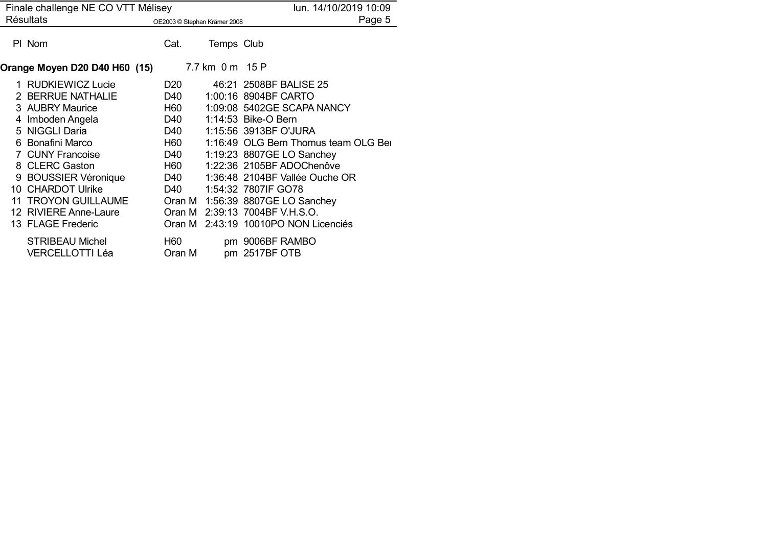| Finale challenge NE CO VTT Mélisey |                                                  |                                                                                                                                                                                                                                |                 | lun. 14/10/2019 10:09                |
|------------------------------------|--------------------------------------------------|--------------------------------------------------------------------------------------------------------------------------------------------------------------------------------------------------------------------------------|-----------------|--------------------------------------|
|                                    | <b>Résultats</b>                                 | OE2003 © Stephan Krämer 2008                                                                                                                                                                                                   |                 | Page 5                               |
|                                    | PI Nom                                           | Cat.                                                                                                                                                                                                                           | Temps Club      |                                      |
|                                    | Orange Moyen D20 D40 H60 (15)                    |                                                                                                                                                                                                                                | 7.7 km 0 m 15 P |                                      |
|                                    | 1 RUDKIEWICZ Lucie                               | D <sub>20</sub>                                                                                                                                                                                                                |                 | 46:21 2508BF BALISE 25               |
|                                    | 2 BERRUE NATHALIE                                | D40 and the D40 and the U                                                                                                                                                                                                      |                 | 1:00:16 8904BF CARTO                 |
|                                    | 3 AUBRY Maurice                                  | H60 H6                                                                                                                                                                                                                         |                 | 1:09:08 5402GE SCAPA NANCY           |
|                                    | 4 Imboden Angela                                 | D40 and the D40 and the U                                                                                                                                                                                                      |                 | 1:14:53 Bike-O Bern                  |
|                                    | 5 NIGGLI Daria                                   | D40 and the D40 and the U                                                                                                                                                                                                      |                 | 1:15:56 3913BF O'JURA                |
|                                    | 6 Bonafini Marco                                 | H60 and the H60 and the H60 and the H60 and the H60 and the H60 and the H60 and the H60 and the H60 and the H60 and the H60 and the H60 and the H60 and the H60 and the H60 and the H60 and the H60 and the H60 and the H60 an |                 | 1:16:49 OLG Bern Thomus team OLG Ber |
|                                    | 7 CUNY Francoise                                 | D40                                                                                                                                                                                                                            |                 | 1:19:23 8807GE LO Sanchey            |
|                                    | 8 CLERC Gaston                                   | H60 <b>H</b>                                                                                                                                                                                                                   |                 | 1:22:36 2105BF ADOChenôve            |
|                                    | 9 BOUSSIER Véronique                             | D40                                                                                                                                                                                                                            |                 | 1:36:48 2104BF Vallée Ouche OR       |
|                                    | 10 CHARDOT Ulrike                                | D40 and the D40 and the U                                                                                                                                                                                                      |                 | 1:54:32 7807IF GO78                  |
|                                    | <b>11 TROYON GUILLAUME</b>                       | Oran M                                                                                                                                                                                                                         |                 | 1:56:39 8807GE LO Sanchey            |
|                                    | 12 RIVIERE Anne-Laure                            |                                                                                                                                                                                                                                |                 | Oran M 2:39:13 7004BF V.H.S.O.       |
|                                    | 13 FLAGE Frederic                                |                                                                                                                                                                                                                                |                 | Oran M 2:43:19 10010PO NON Licenciés |
|                                    | <b>STRIBEAU Michel</b><br><b>VERCELLOTTI Léa</b> | H <sub>60</sub><br>Oran M                                                                                                                                                                                                      |                 | pm 9006BF RAMBO<br>pm 2517BF OTB     |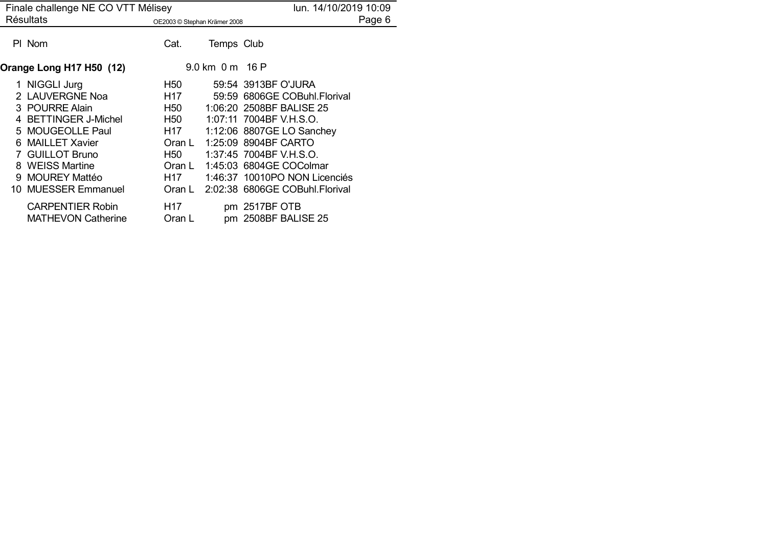| Finale challenge NE CO VTT Mélisey |                                                                                                                                                                                                    |                                                                                                                                                                                                                |                           | lun. 14/10/2019 10:09                                                                                                                                                                                                                                                                    |        |
|------------------------------------|----------------------------------------------------------------------------------------------------------------------------------------------------------------------------------------------------|----------------------------------------------------------------------------------------------------------------------------------------------------------------------------------------------------------------|---------------------------|------------------------------------------------------------------------------------------------------------------------------------------------------------------------------------------------------------------------------------------------------------------------------------------|--------|
|                                    | <b>Résultats</b>                                                                                                                                                                                   | OE2003 © Stephan Krämer 2008                                                                                                                                                                                   |                           |                                                                                                                                                                                                                                                                                          | Page 6 |
|                                    | PI Nom                                                                                                                                                                                             | Cat.                                                                                                                                                                                                           | Temps Club                |                                                                                                                                                                                                                                                                                          |        |
|                                    | Orange Long H17 H50 (12)                                                                                                                                                                           |                                                                                                                                                                                                                | $9.0 \text{ km}$ 0 m 16 P |                                                                                                                                                                                                                                                                                          |        |
|                                    | 1 NIGGLI Jurg<br>2 LAUVERGNE Noa<br>3 POURRE Alain<br>4 BETTINGER J-Michel<br>5 MOUGEOLLE Paul<br>6 MAILLET Xavier<br>7 GUILLOT Bruno<br>8 WEISS Martine<br>9 MOUREY Mattéo<br>10 MUESSER Emmanuel | H <sub>50</sub><br>H17<br>H <sub>50</sub><br>H50<br>H17<br>Oran L<br>H50 and H50 and H50 and H50 and H50 and H50 and H50 and H50 and H50 and H50 and H50 and H50 and H50 and H50 an<br>Oran L<br>H17<br>Oran L |                           | 59:54 3913BF O'JURA<br>59:59 6806GE COBuhl.Florival<br>1:06:20 2508BF BALISE 25<br>1:07:11 7004BF V.H.S.O.<br>1:12:06 8807GE LO Sanchey<br>1:25:09 8904BF CARTO<br>1:37:45 7004BF V.H.S.O.<br>1:45:03 6804GE COColmar<br>1:46:37 10010PO NON Licenciés<br>2:02:38 6806GE COBuhl.Florival |        |
|                                    | <b>CARPENTIER Robin</b><br><b>MATHEVON Catherine</b>                                                                                                                                               | H17<br>Oran L                                                                                                                                                                                                  |                           | pm 2517BF OTB<br>pm 2508BF BALISE 25                                                                                                                                                                                                                                                     |        |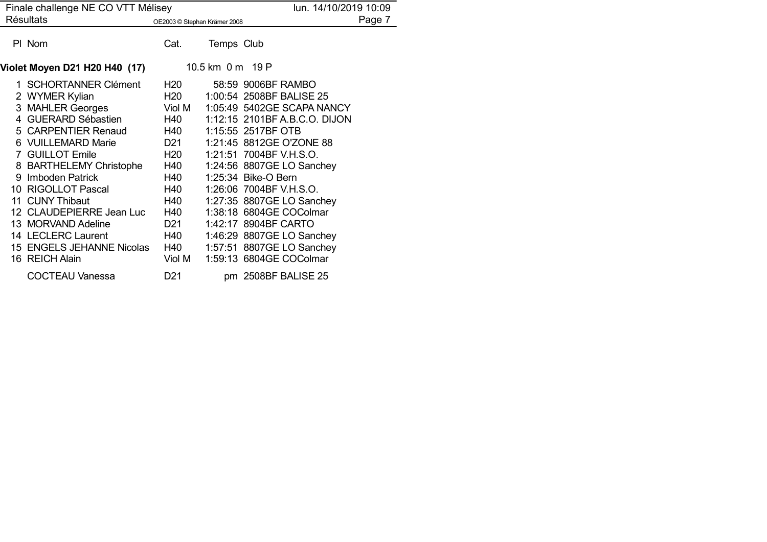| Finale challenge NE CO VTT Mélisey |                                                                                                                                                                                                                                                                                                                     |                                                                                                                                                                                                                                                                                                                                                                                                                                                    |                  | lun. 14/10/2019 10:09                                                                                                                                                                                                                                                                                                                                                                  |        |
|------------------------------------|---------------------------------------------------------------------------------------------------------------------------------------------------------------------------------------------------------------------------------------------------------------------------------------------------------------------|----------------------------------------------------------------------------------------------------------------------------------------------------------------------------------------------------------------------------------------------------------------------------------------------------------------------------------------------------------------------------------------------------------------------------------------------------|------------------|----------------------------------------------------------------------------------------------------------------------------------------------------------------------------------------------------------------------------------------------------------------------------------------------------------------------------------------------------------------------------------------|--------|
|                                    | <b>Résultats</b>                                                                                                                                                                                                                                                                                                    | OE2003 © Stephan Krämer 2008                                                                                                                                                                                                                                                                                                                                                                                                                       |                  |                                                                                                                                                                                                                                                                                                                                                                                        | Page 7 |
|                                    | PI Nom                                                                                                                                                                                                                                                                                                              | Cat.                                                                                                                                                                                                                                                                                                                                                                                                                                               | Temps Club       |                                                                                                                                                                                                                                                                                                                                                                                        |        |
|                                    | Violet Moyen D21 H20 H40 (17)                                                                                                                                                                                                                                                                                       |                                                                                                                                                                                                                                                                                                                                                                                                                                                    | 10.5 km 0 m 19 P |                                                                                                                                                                                                                                                                                                                                                                                        |        |
|                                    | 1 SCHORTANNER Clément<br>2 WYMER Kylian<br>3 MAHLER Georges<br>4 GUERARD Sébastien<br>5 CARPENTIER Renaud<br>6 VUILLEMARD Marie<br>7 GUILLOT Emile<br>8 BARTHELEMY Christophe<br>9 Imboden Patrick<br>10 RIGOLLOT Pascal<br>11 CUNY Thibaut<br>12 CLAUDEPIERRE Jean Luc<br>13 MORVAND Adeline<br>14 LECLERC Laurent | H <sub>20</sub><br>H <sub>20</sub><br>Viol M<br>H40<br>H40<br>D21<br>H <sub>20</sub><br>H40<br>H40<br>H40 and the H40 and the Magnus and the Magnus and the Magnus and the New York of the <i>H40</i> and <i>H40</i> and <i>H40</i> and <i>H40</i> and <i>H40</i> and <i>H40</i> and <i>H40</i> and <i>H40</i> and <i>H40</i> and <i>H40</i> and <i>H40</i> and <i>H40</i> and <i>H40</i> and <i>H40</i> a<br>H40<br>H40<br>D <sub>21</sub><br>H40 |                  | 58:59 9006BF RAMBO<br>1:00:54 2508BF BALISE 25<br>1:05:49 5402GE SCAPA NANCY<br>1:12:15 2101BF A.B.C.O. DIJON<br>1:15:55 2517BF OTB<br>1:21:45 8812GE O'ZONE 88<br>1:21:51 7004BF V.H.S.O.<br>1:24:56 8807GE LO Sanchey<br>1:25:34 Bike-O Bern<br>1:26:06 7004BF V.H.S.O.<br>1:27:35 8807GE LO Sanchey<br>1:38:18 6804GE COColmar<br>1:42:17 8904BF CARTO<br>1:46:29 8807GE LO Sanchey |        |
|                                    | 15 ENGELS JEHANNE Nicolas<br>16 REICH Alain                                                                                                                                                                                                                                                                         | H40<br>Viol M                                                                                                                                                                                                                                                                                                                                                                                                                                      |                  | 1:57:51 8807GE LO Sanchey<br>1:59:13 6804GE COColmar                                                                                                                                                                                                                                                                                                                                   |        |
|                                    | <b>COCTEAU Vanessa</b>                                                                                                                                                                                                                                                                                              | D <sub>21</sub>                                                                                                                                                                                                                                                                                                                                                                                                                                    |                  | pm 2508BF BALISE 25                                                                                                                                                                                                                                                                                                                                                                    |        |